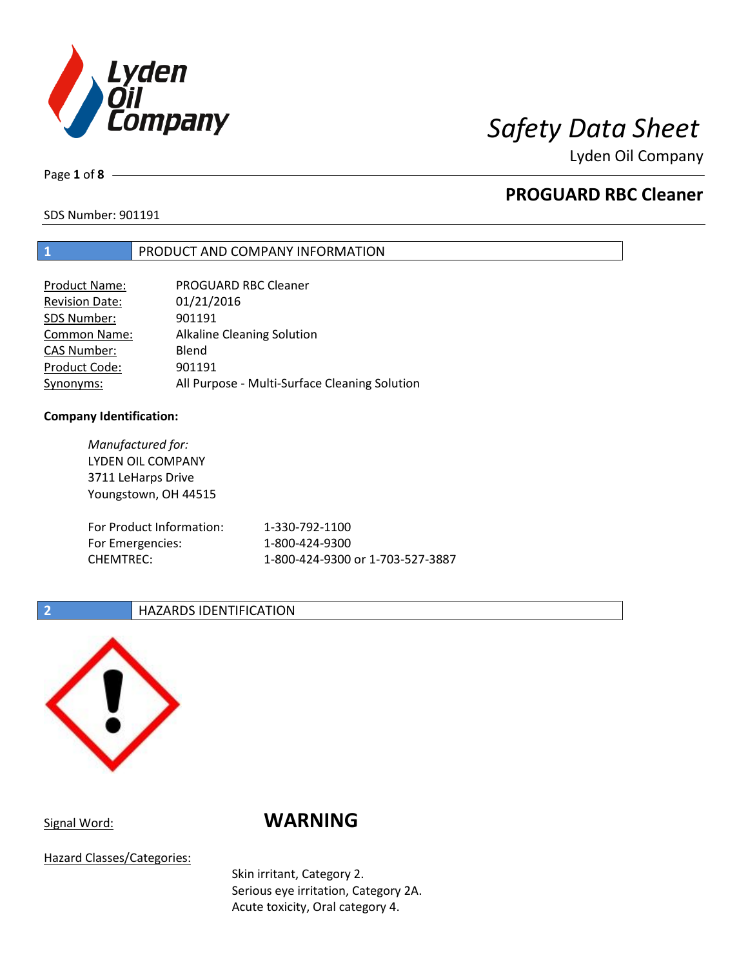

Page **1** of **8**

## **PROGUARD RBC Cleaner**

SDS Number: 901191

## **1** PRODUCT AND COMPANY INFORMATION

| <b>Product Name:</b>  | <b>PROGUARD RBC Cleaner</b>                   |
|-----------------------|-----------------------------------------------|
| <b>Revision Date:</b> | 01/21/2016                                    |
| SDS Number:           | 901191                                        |
| <b>Common Name:</b>   | <b>Alkaline Cleaning Solution</b>             |
| <b>CAS Number:</b>    | Blend                                         |
| Product Code:         | 901191                                        |
| Synonyms:             | All Purpose - Multi-Surface Cleaning Solution |

## **Company Identification:**

*Manufactured for:* LYDEN OIL COMPANY 3711 LeHarps Drive Youngstown, OH 44515 For Product Information: 1-330-792-1100 For Emergencies: 1-800-424-9300 CHEMTREC: 1-800-424-9300 or 1-703-527-3887

## **2 HAZARDS IDENTIFICATION**



# Signal Word: **WARNING**

Hazard Classes/Categories:

Skin irritant, Category 2. Serious eye irritation, Category 2A. Acute toxicity, Oral category 4.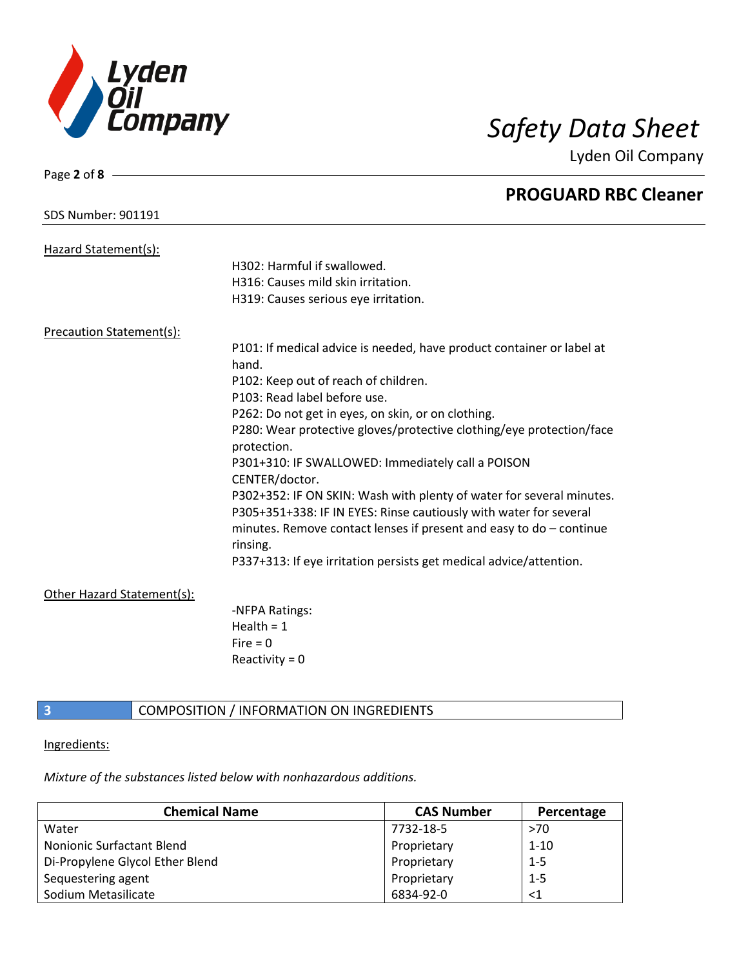

| Page 2 of $8 -$                 |                                                                       |
|---------------------------------|-----------------------------------------------------------------------|
|                                 | <b>PROGUARD RBC Cleaner</b>                                           |
| <b>SDS Number: 901191</b>       |                                                                       |
| Hazard Statement(s):            |                                                                       |
|                                 | H302: Harmful if swallowed.                                           |
|                                 | H316: Causes mild skin irritation.                                    |
|                                 | H319: Causes serious eye irritation.                                  |
| <b>Precaution Statement(s):</b> |                                                                       |
|                                 | P101: If medical advice is needed, have product container or label at |
|                                 | hand.                                                                 |
|                                 | P102: Keep out of reach of children.                                  |
|                                 | P103: Read label before use.                                          |
|                                 | P262: Do not get in eyes, on skin, or on clothing.                    |
|                                 | P280: Wear protective gloves/protective clothing/eye protection/face  |
|                                 | protection.                                                           |
|                                 | P301+310: IF SWALLOWED: Immediately call a POISON                     |
|                                 | CENTER/doctor.                                                        |
|                                 | P302+352: IF ON SKIN: Wash with plenty of water for several minutes.  |
|                                 | P305+351+338: IF IN EYES: Rinse cautiously with water for several     |
|                                 | minutes. Remove contact lenses if present and easy to $do$ – continue |
|                                 | rinsing.                                                              |
|                                 | P337+313: If eye irritation persists get medical advice/attention.    |
| Other Hazard Statement(s):      |                                                                       |
|                                 | -NFPA Ratings:                                                        |
|                                 | Health = $1$                                                          |
|                                 | $Fire = 0$                                                            |
|                                 | Reactivity = $0$                                                      |
|                                 |                                                                       |

## Ingredients:

**3 COMPOSITION** / INFORMATION ON INGREDIENTS

*Mixture of the substances listed below with nonhazardous additions.*

| <b>Chemical Name</b>            | <b>CAS Number</b> | Percentage |
|---------------------------------|-------------------|------------|
| Water                           | 7732-18-5         | >70        |
| Nonionic Surfactant Blend       | Proprietary       | $1 - 10$   |
| Di-Propylene Glycol Ether Blend | Proprietary       | $1 - 5$    |
| Sequestering agent              | Proprietary       | $1 - 5$    |
| Sodium Metasilicate             | 6834-92-0         | ${<}1$     |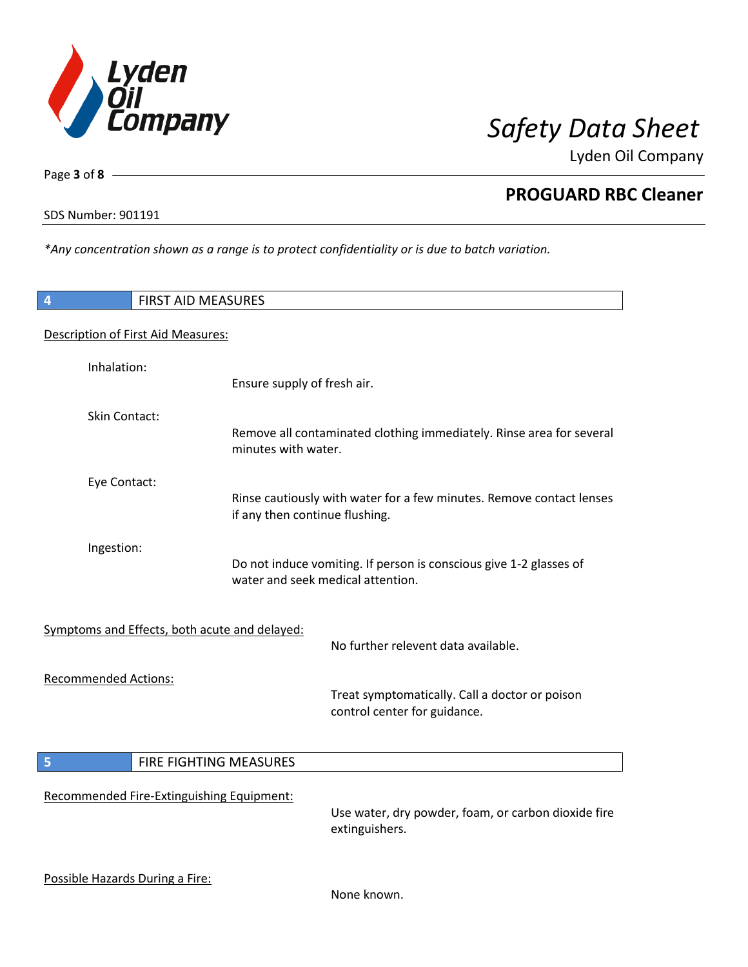

SDS Number: 901191

Page **3** of **8**

 $\overline{\phantom{a}}$ 

 $\overline{\phantom{a}}$ 

**PROGUARD RBC Cleaner**

*\*Any concentration shown as a range is to protect confidentiality or is due to batch variation.*

| 4                               | <b>FIRST AID MEASURES</b>                     |                                                                                                         |
|---------------------------------|-----------------------------------------------|---------------------------------------------------------------------------------------------------------|
|                                 | Description of First Aid Measures:            |                                                                                                         |
| Inhalation:                     |                                               | Ensure supply of fresh air.                                                                             |
| Skin Contact:                   |                                               | Remove all contaminated clothing immediately. Rinse area for several<br>minutes with water.             |
| Eye Contact:                    |                                               | Rinse cautiously with water for a few minutes. Remove contact lenses<br>if any then continue flushing.  |
| Ingestion:                      |                                               | Do not induce vomiting. If person is conscious give 1-2 glasses of<br>water and seek medical attention. |
|                                 | Symptoms and Effects, both acute and delayed: | No further relevent data available.                                                                     |
| <b>Recommended Actions:</b>     |                                               | Treat symptomatically. Call a doctor or poison<br>control center for guidance.                          |
| 5                               | FIRE FIGHTING MEASURES                        |                                                                                                         |
|                                 | Recommended Fire-Extinguishing Equipment:     | Use water, dry powder, foam, or carbon dioxide fire<br>extinguishers.                                   |
| Possible Hazards During a Fire: |                                               | None known.                                                                                             |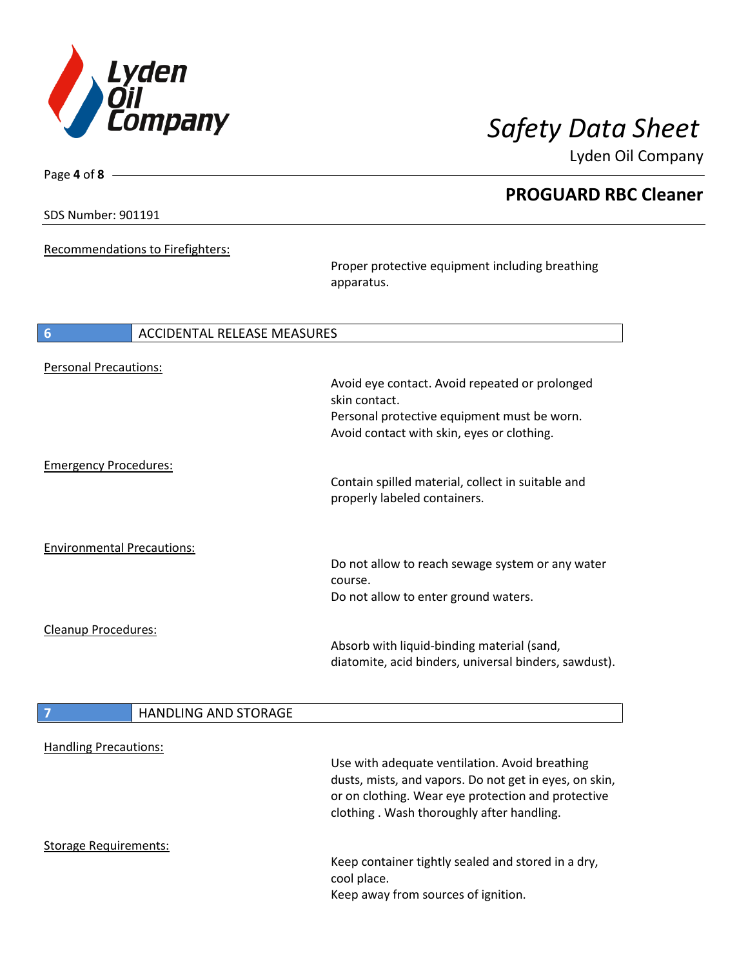

Lyden Oil Company

SDS Number: 901191

Page **4** of **8**

Recommendations to Firefighters:

Proper protective equipment including breathing apparatus.

| 6<br>ACCIDENTAL RELEASE MEASURES  |                                                       |  |
|-----------------------------------|-------------------------------------------------------|--|
| <b>Personal Precautions:</b>      |                                                       |  |
|                                   | Avoid eye contact. Avoid repeated or prolonged        |  |
|                                   | skin contact.                                         |  |
|                                   | Personal protective equipment must be worn.           |  |
|                                   | Avoid contact with skin, eyes or clothing.            |  |
| <b>Emergency Procedures:</b>      |                                                       |  |
|                                   | Contain spilled material, collect in suitable and     |  |
|                                   | properly labeled containers.                          |  |
|                                   |                                                       |  |
| <b>Environmental Precautions:</b> |                                                       |  |
|                                   | Do not allow to reach sewage system or any water      |  |
|                                   | course.                                               |  |
|                                   | Do not allow to enter ground waters.                  |  |
| Cleanup Procedures:               |                                                       |  |
|                                   | Absorb with liquid-binding material (sand,            |  |
|                                   | diatomite, acid binders, universal binders, sawdust). |  |
|                                   |                                                       |  |
| <b>HANDLING AND STORAGE</b>       |                                                       |  |

|                              | ,,,,,,,,,,,,,,,,,,,,,,,,,, |                                                                                                                                                           |
|------------------------------|----------------------------|-----------------------------------------------------------------------------------------------------------------------------------------------------------|
| <b>Handling Precautions:</b> |                            |                                                                                                                                                           |
|                              |                            |                                                                                                                                                           |
|                              |                            | Use with adequate ventilation. Avoid breathing                                                                                                            |
|                              |                            | dusts, mists, and vapors. Do not get in eyes, on skin,<br>or on clothing. Wear eye protection and protective<br>clothing. Wash thoroughly after handling. |
| Storage Requirements:        |                            |                                                                                                                                                           |
|                              |                            | Keep container tightly sealed and stored in a dry,<br>cool place.<br>Keep away from sources of ignition.                                                  |
|                              |                            |                                                                                                                                                           |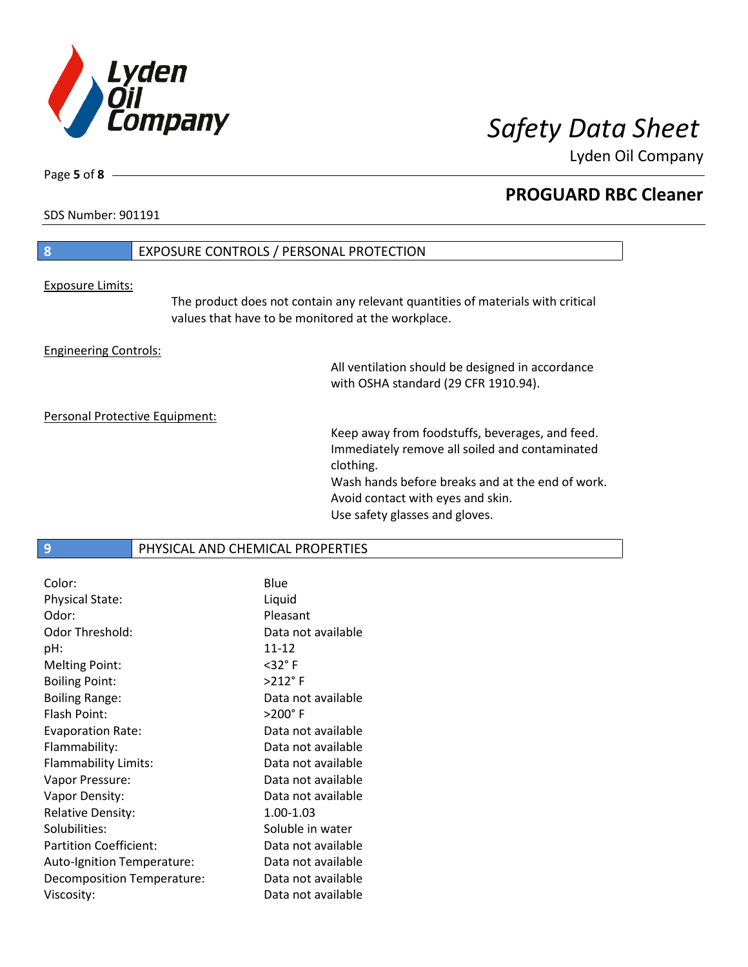

Lyden Oil Company

SDS Number: 901191

Page **5** of **8**

# **8** EXPOSURE CONTROLS / PERSONAL PROTECTION Exposure Limits: The product does not contain any relevant quantities of materials with critical values that have to be monitored at the workplace. Engineering Controls: All ventilation should be designed in accordance

with OSHA standard (29 CFR 1910.94).

Personal Protective Equipment:

Keep away from foodstuffs, beverages, and feed. Immediately remove all soiled and contaminated clothing. Wash hands before breaks and at the end of work. Avoid contact with eyes and skin.

Use safety glasses and gloves.

**9 PHYSICAL AND CHEMICAL PROPERTIES** 

| Color:                        | Blue                 |
|-------------------------------|----------------------|
| <b>Physical State:</b>        | Liquid               |
| Odor:                         | Pleasant             |
| Odor Threshold:               | Data not available   |
| pH:                           | $11 - 12$            |
| <b>Melting Point:</b>         | $<$ 32 $\degree$ F   |
| <b>Boiling Point:</b>         | $>212$ °F            |
| <b>Boiling Range:</b>         | Data not available   |
| Flash Point:                  | $>$ 200 $^{\circ}$ F |
| <b>Evaporation Rate:</b>      | Data not available   |
| Flammability:                 | Data not available   |
| Flammability Limits:          | Data not available   |
| Vapor Pressure:               | Data not available   |
| Vapor Density:                | Data not available   |
| <b>Relative Density:</b>      | 1.00-1.03            |
| Solubilities:                 | Soluble in water     |
| <b>Partition Coefficient:</b> | Data not available   |
| Auto-Ignition Temperature:    | Data not available   |
| Decomposition Temperature:    | Data not available   |
| Viscosity:                    | Data not available   |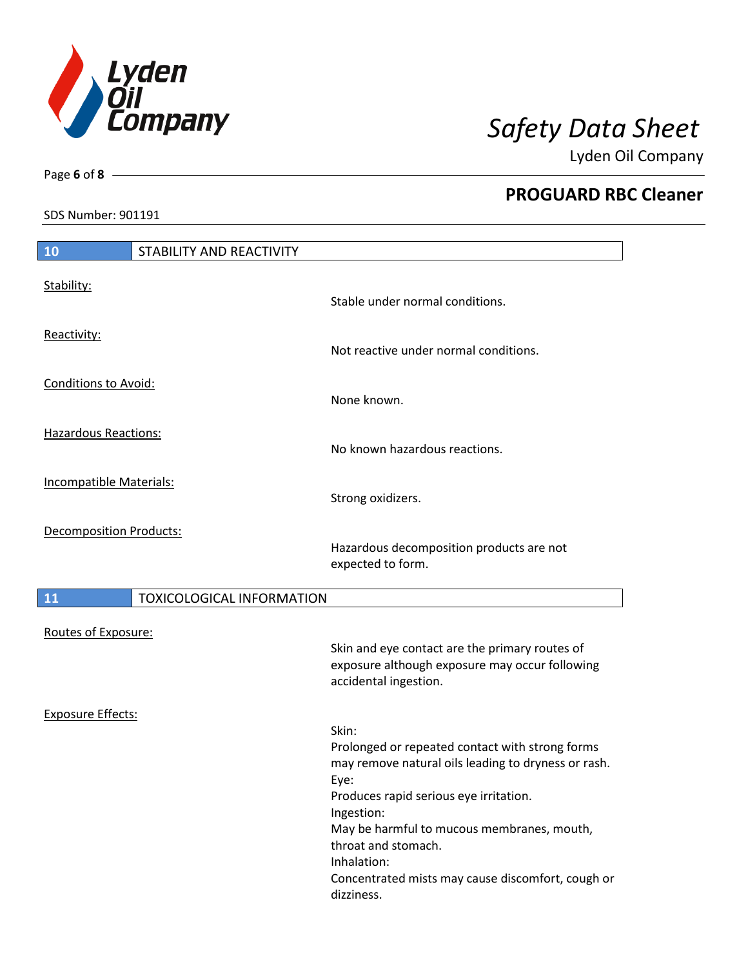

Lyden Oil Company

SDS Number: 901191

Page **6** of **8**

| <b>10</b>                      | <b>STABILITY AND REACTIVITY</b>  |                                                                                                  |
|--------------------------------|----------------------------------|--------------------------------------------------------------------------------------------------|
| Stability:                     |                                  |                                                                                                  |
|                                |                                  | Stable under normal conditions.                                                                  |
| Reactivity:                    |                                  | Not reactive under normal conditions.                                                            |
| <b>Conditions to Avoid:</b>    |                                  |                                                                                                  |
|                                |                                  | None known.                                                                                      |
| <b>Hazardous Reactions:</b>    |                                  | No known hazardous reactions.                                                                    |
| Incompatible Materials:        |                                  |                                                                                                  |
|                                |                                  | Strong oxidizers.                                                                                |
| <b>Decomposition Products:</b> |                                  |                                                                                                  |
|                                |                                  | Hazardous decomposition products are not<br>expected to form.                                    |
| <b>11</b>                      | <b>TOXICOLOGICAL INFORMATION</b> |                                                                                                  |
| Routes of Exposure:            |                                  |                                                                                                  |
|                                |                                  | Skin and eye contact are the primary routes of<br>exposure although exposure may occur following |
|                                |                                  | accidental ingestion.                                                                            |
| <b>Exposure Effects:</b>       |                                  | Skin:                                                                                            |
|                                |                                  | Prolonged or repeated contact with strong forms                                                  |
|                                |                                  | may remove natural oils leading to dryness or rash.<br>Eye:                                      |
|                                |                                  | Produces rapid serious eye irritation.<br>Ingestion:                                             |
|                                |                                  | May be harmful to mucous membranes, mouth,<br>throat and stomach.                                |
|                                |                                  | Inhalation:<br>Concentrated mists may cause discomfort, cough or<br>dizziness.                   |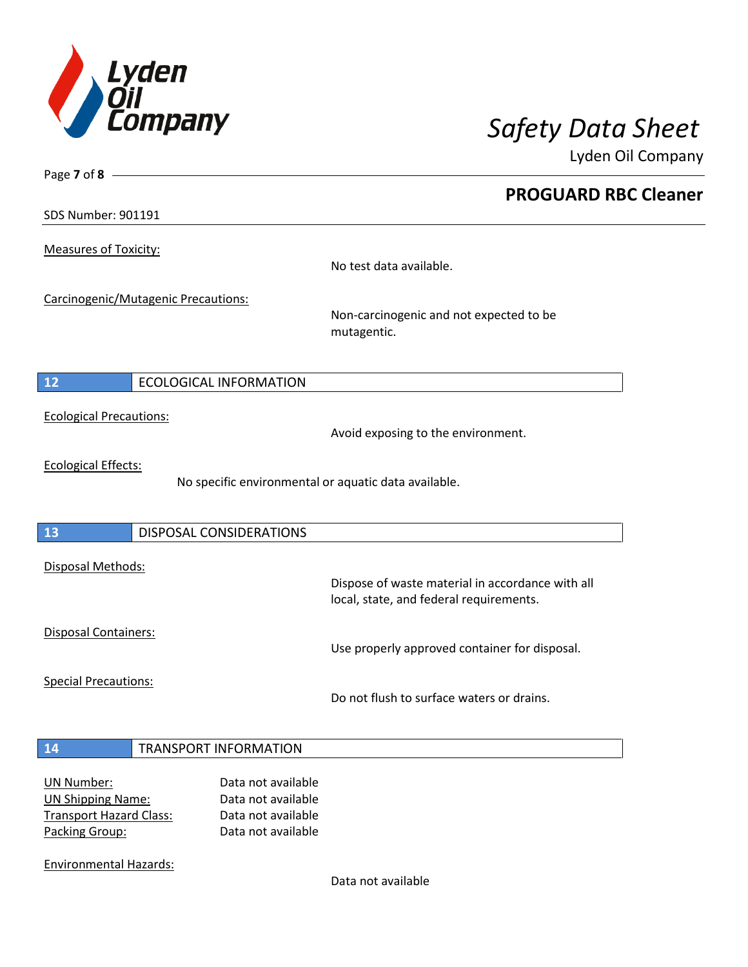

Lyden Oil Company

SDS Number: 901191

Page **7** of **8**

Measures of Toxicity:

No test data available.

Carcinogenic/Mutagenic Precautions:

Non-carcinogenic and not expected to be mutagentic.

## **12** ECOLOGICAL INFORMATION

Ecological Precautions:

Avoid exposing to the environment.

Ecological Effects:

No specific environmental or aquatic data available.

## **13** DISPOSAL CONSIDERATIONS

Disposal Methods:

Disposal Containers:

Use properly approved container for disposal.

Dispose of waste material in accordance with all

Special Precautions:

Do not flush to surface waters or drains.

local, state, and federal requirements.

## **14** TRANSPORT INFORMATION

| UN Number:                     | Data not available |
|--------------------------------|--------------------|
| <b>UN Shipping Name:</b>       | Data not available |
| <b>Transport Hazard Class:</b> | Data not available |
| Packing Group:                 | Data not available |

Environmental Hazards:

Data not available